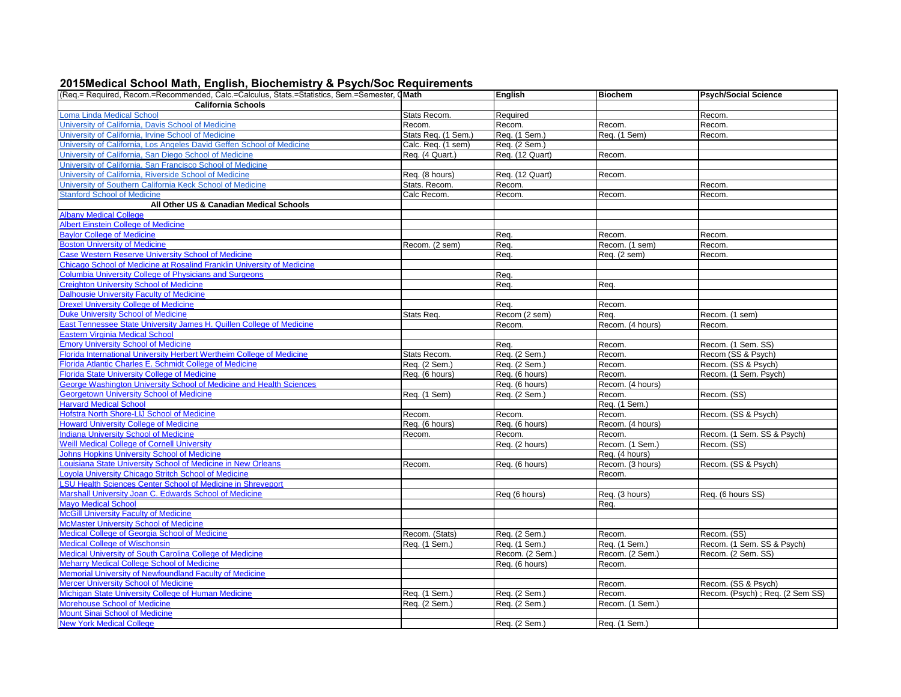## **2015 Medical School Math, English, Biochemistry & Psych/Soc Requirements**

| (Req.= Required, Recom.=Recommended, Calc.=Calculus, Stats.=Statistics, Sem.=Semester, QMath |                     | English         | <b>Biochem</b>   | <b>Psych/Social Science</b>      |
|----------------------------------------------------------------------------------------------|---------------------|-----------------|------------------|----------------------------------|
| <b>California Schools</b>                                                                    |                     |                 |                  |                                  |
| Loma Linda Medical School                                                                    | Stats Recom.        | Required        |                  | Recom.                           |
| University of California, Davis School of Medicine                                           | Recom.              | Recom.          | Recom.           | Recom.                           |
| University of California, Irvine School of Medicine                                          | Stats Req. (1 Sem.) | Req. (1 Sem.)   | Req. (1 Sem)     | Recom.                           |
| University of California. Los Angeles David Geffen School of Medicine                        | Calc. Req. (1 sem)  | Req. (2 Sem.)   |                  |                                  |
| University of California, San Diego School of Medicine                                       | Req. (4 Quart.)     | Req. (12 Quart) | Recom.           |                                  |
| University of California, San Francisco School of Medicine                                   |                     |                 |                  |                                  |
| University of California, Riverside School of Medicine                                       | Req. (8 hours)      | Req. (12 Quart) | Recom.           |                                  |
| University of Southern California Keck School of Medicine                                    | Stats. Recom.       | Recom.          |                  | Recom.                           |
| <b>Stanford School of Medicine</b>                                                           | Calc Recom.         | Recom.          | Recom.           | Recom.                           |
| All Other US & Canadian Medical Schools                                                      |                     |                 |                  |                                  |
| <b>Albany Medical College</b>                                                                |                     |                 |                  |                                  |
| <b>Albert Einstein College of Medicine</b>                                                   |                     |                 |                  |                                  |
| <b>Baylor College of Medicine</b>                                                            |                     | Req.            | Recom.           | Recom.                           |
| <b>Boston University of Medicine</b>                                                         | Recom. (2 sem)      | Req.            | Recom. (1 sem)   | Recom.                           |
| Case Western Reserve University School of Medicine                                           |                     | Req.            | Req. (2 sem)     | Recom.                           |
| Chicago School of Medicine at Rosalind Franklin University of Medicine                       |                     |                 |                  |                                  |
| <b>Columbia University College of Physicians and Surgeons</b>                                |                     | Req.            |                  |                                  |
| <b>Creighton University School of Medicine</b>                                               |                     | Req.            | Req.             |                                  |
| <b>Dalhousie University Faculty of Medicine</b>                                              |                     |                 |                  |                                  |
| <b>Drexel University College of Medicine</b>                                                 |                     | Req.            | Recom.           |                                  |
| <b>Duke University School of Medicine</b>                                                    | Stats Req.          | Recom (2 sem)   | Req.             | Recom. (1 sem)                   |
| East Tennessee State University James H. Quillen College of Medicine                         |                     | Recom.          | Recom. (4 hours) | Recom.                           |
| Eastern Virginia Medical School                                                              |                     |                 |                  |                                  |
| <b>Emory University School of Medicine</b>                                                   |                     | Req.            | Recom.           | Recom. (1 Sem. SS)               |
| Florida International University Herbert Wertheim College of Medicine                        | Stats Recom.        | Req. (2 Sem.)   | Recom.           | Recom (SS & Psych)               |
| Florida Atlantic Charles E. Schmidt College of Medicine                                      | Req. (2 Sem.)       | Req. (2 Sem.)   | Recom.           | Recom. (SS & Psych)              |
| <b>Florida State University College of Medicine</b>                                          | Req. (6 hours)      | Req. (6 hours)  | Recom.           | Recom. (1 Sem. Psych)            |
| George Washington University School of Medicine and Health Sciences                          |                     | Req. (6 hours)  | Recom. (4 hours) |                                  |
| <b>Georgetown University School of Medicine</b>                                              | Req. (1 Sem)        | Req. (2 Sem.)   | Recom.           | Recom. (SS)                      |
| <b>Harvard Medical School</b>                                                                |                     |                 | Req. (1 Sem.)    |                                  |
| Hofstra North Shore-LIJ School of Medicine                                                   | Recom.              | Recom.          | Recom.           | Recom. (SS & Psych)              |
| <b>Howard University College of Medicine</b>                                                 | Req. (6 hours)      | Req. (6 hours)  | Recom. (4 hours) |                                  |
| <b>Indiana University School of Medicine</b>                                                 | Recom.              | Recom.          | Recom.           | Recom. (1 Sem. SS & Psych)       |
| <b>Weill Medical College of Cornell University</b>                                           |                     | Req. (2 hours)  | Recom. (1 Sem.)  | Recom. (SS)                      |
| Johns Hopkins University School of Medicine                                                  |                     |                 | Req. (4 hours)   |                                  |
| couisiana State University School of Medicine in New Orleans                                 | Recom.              | Req. (6 hours)  | Recom. (3 hours) | Recom. (SS & Psych)              |
| Loyola University Chicago Stritch School of Medicine                                         |                     |                 | Recom.           |                                  |
| <b>SU Health Sciences Center School of Medicine in Shreveport</b>                            |                     |                 |                  |                                  |
| Marshall University Joan C. Edwards School of Medicine                                       |                     | Req (6 hours)   | Req. (3 hours)   | Req. (6 hours SS)                |
| <b>Mayo Medical School</b>                                                                   |                     |                 | Reg.             |                                  |
| <b>McGill University Faculty of Medicine</b>                                                 |                     |                 |                  |                                  |
| <b>McMaster University School of Medicine</b>                                                |                     |                 |                  |                                  |
| Medical College of Georgia School of Medicine                                                | Recom. (Stats)      | Req. (2 Sem.)   | Recom.           | Recom. (SS)                      |
| <b>Medical College of Wischonsin</b>                                                         | Req. (1 Sem.)       | Req. (1 Sem.)   | Req. (1 Sem.)    | Recom. (1 Sem. SS & Psych)       |
| Medical University of South Carolina College of Medicine                                     |                     | Recom. (2 Sem.) | Recom. (2 Sem.)  | Recom. (2 Sem. SS)               |
| <b>Meharry Medical College School of Medicine</b>                                            |                     | Req. (6 hours)  | Recom.           |                                  |
| Memorial University of Newfoundland Faculty of Medicine                                      |                     |                 |                  |                                  |
| Mercer University School of Medicine                                                         |                     |                 | Recom.           | Recom. (SS & Psych)              |
| Michigan State University College of Human Medicine                                          | Req. (1 Sem.)       | Req. (2 Sem.)   | Recom.           | Recom. (Psych) ; Req. (2 Sem SS) |
| Morehouse School of Medicine                                                                 | Req. (2 Sem.        | Req. (2 Sem.)   | Recom. (1 Sem.)  |                                  |
| Mount Sinai School of Medicine                                                               |                     |                 |                  |                                  |
| <b>New York Medical College</b>                                                              |                     | Req. (2 Sem.)   | Req. (1 Sem.)    |                                  |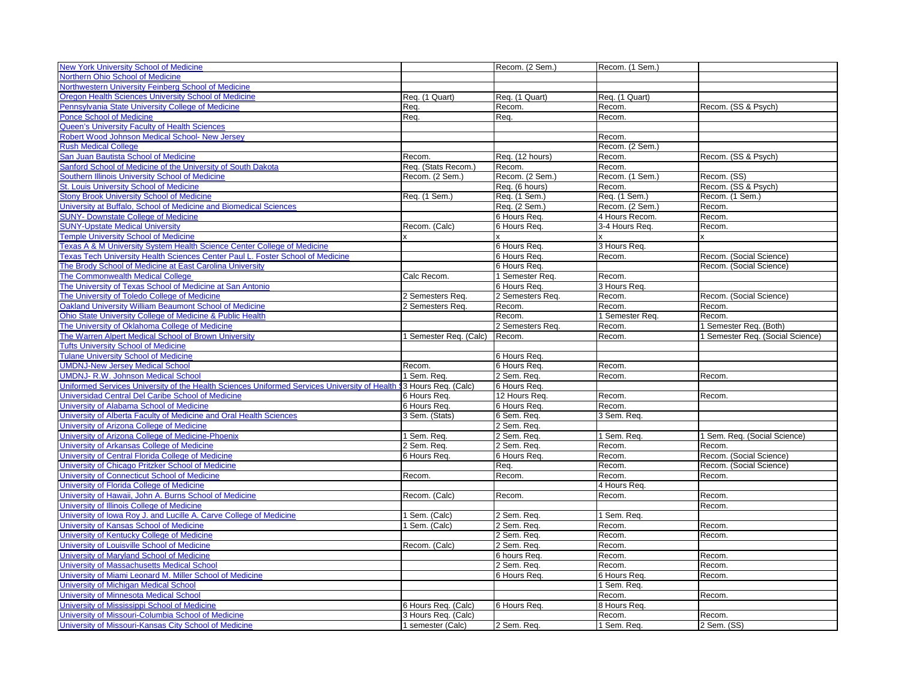| <b>New York University School of Medicine</b>                                                |                        | Recom. (2 Sem.)            | Recom. (1 Sem.)  |                                  |
|----------------------------------------------------------------------------------------------|------------------------|----------------------------|------------------|----------------------------------|
| Northern Ohio School of Medicine                                                             |                        |                            |                  |                                  |
| Northwestern University Feinberg School of Medicine                                          |                        |                            |                  |                                  |
| <b>Oregon Health Sciences University School of Medicine</b>                                  | Req. (1 Quart)         | Req. (1 Quart)             | Req. (1 Quart)   |                                  |
| Pennsylvania State University College of Medicine                                            | Req.                   | Recom.                     | Recom.           | Recom. (SS & Psych)              |
| <b>Ponce School of Medicine</b>                                                              | Req.                   | Req.                       | Recom.           |                                  |
| <b>Queen's University Faculty of Health Sciences</b>                                         |                        |                            |                  |                                  |
| Robert Wood Johnson Medical School- New Jersey                                               |                        |                            | Recom.           |                                  |
| <b>Rush Medical College</b>                                                                  |                        |                            | Recom. (2 Sem.)  |                                  |
| San Juan Bautista School of Medicine                                                         | Recom.                 | Req. (12 hours)            | Recom.           | Recom. (SS & Psych)              |
| Sanford School of Medicine of the University of South Dakota                                 | Req. (Stats Recom.)    | Recom.                     | Recom.           |                                  |
| Southern Illinois University School of Medicine                                              | Recom. (2 Sem.)        | Recom. (2 Sem.)            | Recom. (1 Sem.)  | Recom. (SS)                      |
| <b>St. Louis University School of Medicine</b>                                               |                        | Req. (6 hours)             | Recom.           | Recom. (SS & Psych)              |
| <b>Stony Brook University School of Medicine</b>                                             | Req. (1 Sem.)          | Req. (1 Sem.)              | Req. (1 Sem.)    | Recom. (1 Sem.)                  |
| University at Buffalo, School of Medicine and Biomedical Sciences                            |                        | Reg. (2 Sem.)              | Recom. (2 Sem.)  | Recom.                           |
| <b>SUNY- Downstate College of Medicine</b>                                                   |                        | 6 Hours Req.               | 4 Hours Recom    | Recom.                           |
| <b>SUNY-Upstate Medical University</b>                                                       | Recom. (Calc)          | 6 Hours Req.               | 3-4 Hours Req.   | Recom.                           |
| <b>Temple University School of Medicine</b>                                                  |                        |                            |                  |                                  |
| Texas A & M University System Health Science Center College of Medicine                      |                        | 6 Hours Req.               | 3 Hours Req.     |                                  |
| Texas Tech University Health Sciences Center Paul L. Foster School of Medicine               |                        | 6 Hours Req.               | Recom.           | Recom. (Social Science)          |
| The Brody School of Medicine at East Carolina University                                     |                        | 6 Hours Req.               |                  | Recom. (Social Science)          |
| The Commonwealth Medical College                                                             | Calc Recom.            | 1 Semester Req.            | Recom.           |                                  |
| The University of Texas School of Medicine at San Antonio                                    |                        | 6 Hours Req.               | 3 Hours Req.     |                                  |
| The University of Toledo College of Medicine                                                 | 2 Semesters Req.       | 2 Semesters Req            | Recom.           | Recom. (Social Science)          |
| <b>Oakland University William Beaumont School of Medicine</b>                                | 2 Semesters Req        | Recom.                     | Recom.           | Recom.                           |
| Ohio State University College of Medicine & Public Health                                    |                        | Recom.                     | 1 Semester Req.  | Recom.                           |
| The University of Oklahoma College of Medicine                                               |                        | 2 Semesters Req.           | Recom.           | 1 Semester Reg. (Both)           |
| The Warren Alpert Medical School of Brown University                                         | 1 Semester Req. (Calc) | Recom.                     | Recom.           | 1 Semester Req. (Social Science) |
| <b>Tufts University School of Medicine</b>                                                   |                        |                            |                  |                                  |
| <b>Tulane University School of Medicine</b>                                                  |                        | 6 Hours Req.               |                  |                                  |
| <b>UMDNJ-New Jersey Medical School</b>                                                       | Recom.                 | 6 Hours Req.               | Recom.           |                                  |
| <b>UMDNJ- R.W. Johnson Medical School</b>                                                    | 1 Sem. Req.            | 2 Sem. Req.                | Recom.           | Recom.                           |
| Uniformed Services University of the Health Sciences Uniformed Services University of Health | 3 Hours Req. (Calc)    | 6 Hours Req.               |                  |                                  |
| Universidad Central Del Caribe School of Medicine                                            | 6 Hours Req.           | 12 Hours Req.              | Recom.           | Recom.                           |
| University of Alabama School of Medicine                                                     | 6 Hours Req.           | 6 Hours Req.               | Recom.           |                                  |
| University of Alberta Faculty of Medicine and Oral Health Sciences                           | 3 Sem. (Stats)         | 6 Sem. Req.                | 3 Sem. Req.      |                                  |
| University of Arizona College of Medicine                                                    |                        | 2 Sem. Req.                |                  |                                  |
| University of Arizona College of Medicine-Phoenix                                            | 1 Sem. Req.            | 2 Sem. Req.                | 1 Sem. Req.      | 1 Sem. Req. (Social Science)     |
| University of Arkansas College of Medicine                                                   | 2 Sem. Req.            | 2 Sem. Req.                | Recom.           | Recom.                           |
| University of Central Florida College of Medicine                                            | 6 Hours Req.           | 6 Hours Req.               | Recom.           | Recom. (Social Science)          |
| University of Chicago Pritzker School of Medicine                                            |                        | Req.                       | Recom.           | Recom. (Social Science)          |
| University of Connecticut School of Medicine                                                 | Recom.                 | Recom.                     | Recom.           | Recom.                           |
| University of Florida College of Medicine                                                    |                        |                            | 4 Hours Req.     |                                  |
| University of Hawaii, John A. Burns School of Medicine                                       | Recom. (Calc)          | Recom.                     | Recom.           | Recom.                           |
| University of Illinois College of Medicine                                                   |                        |                            |                  | Recom.                           |
| University of Iowa Roy J. and Lucille A. Carve College of Medicine                           | 1 Sem. (Calc)          |                            |                  |                                  |
| University of Kansas School of Medicine                                                      | 1 Sem. (Calc)          | 2 Sem. Req.<br>2 Sem. Req. | 1 Sem. Req.      |                                  |
| University of Kentucky College of Medicine                                                   |                        |                            | Recom.<br>Recom. | Recom.<br>Recom.                 |
|                                                                                              |                        | 2 Sem. Req.                |                  |                                  |
| University of Louisville School of Medicine<br>University of Maryland School of Medicine     | Recom. (Calc)          | 2 Sem. Req.                | Recom.           |                                  |
|                                                                                              |                        | 6 hours Req.               | Recom.           | Recom.                           |
| University of Massachusetts Medical School                                                   |                        | 2 Sem. Req.                | Recom.           | Recom.                           |
| University of Miami Leonard M. Miller School of Medicine                                     |                        | 6 Hours Req.               | 6 Hours Req.     | Recom.                           |
| University of Michigan Medical School                                                        |                        |                            | 1 Sem. Req.      |                                  |
| University of Minnesota Medical School                                                       |                        |                            | Recom.           | Recom.                           |
| University of Mississippi School of Medicine                                                 | 6 Hours Req. (Calc)    | 6 Hours Req.               | 8 Hours Req.     |                                  |
| University of Missouri-Columbia School of Medicine                                           | 3 Hours Req. (Calc)    |                            | Recom.           | Recom.                           |
| University of Missouri-Kansas City School of Medicine                                        | 1 semester (Calc)      | 2 Sem. Req.                | 1 Sem. Req.      | 2 Sem. (SS)                      |